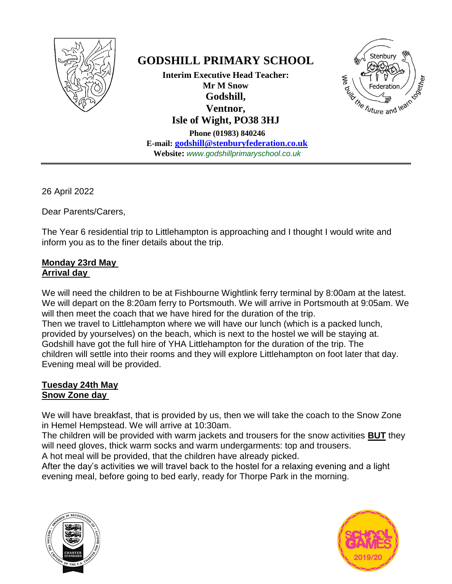

# **GODSHILL PRIMARY SCHOOL**

**Interim Executive Head Teacher: Mr M Snow Godshill, Ventnor, Isle of Wight, PO38 3HJ**

**Phone (01983) 840246 E-mail: [godshill@stenburyfederation.co.uk](mailto:godshill@stenburyfederation.co.uk) Website:** *www.godshillprimaryschool.co.uk*



26 April 2022

Dear Parents/Carers,

The Year 6 residential trip to Littlehampton is approaching and I thought I would write and inform you as to the finer details about the trip.

## **Monday 23rd May Arrival day**

We will need the children to be at Fishbourne Wightlink ferry terminal by 8:00am at the latest. We will depart on the 8:20am ferry to Portsmouth. We will arrive in Portsmouth at 9:05am. We will then meet the coach that we have hired for the duration of the trip. Then we travel to Littlehampton where we will have our lunch (which is a packed lunch, provided by yourselves) on the beach, which is next to the hostel we will be staying at. Godshill have got the full hire of YHA Littlehampton for the duration of the trip. The children will settle into their rooms and they will explore Littlehampton on foot later that day. Evening meal will be provided.

## **Tuesday 24th May Snow Zone day**

We will have breakfast, that is provided by us, then we will take the coach to the Snow Zone in Hemel Hempstead. We will arrive at 10:30am.

The children will be provided with warm jackets and trousers for the snow activities **BUT** they will need gloves, thick warm socks and warm undergarments: top and trousers.

A hot meal will be provided, that the children have already picked.

After the day's activities we will travel back to the hostel for a relaxing evening and a light evening meal, before going to bed early, ready for Thorpe Park in the morning.